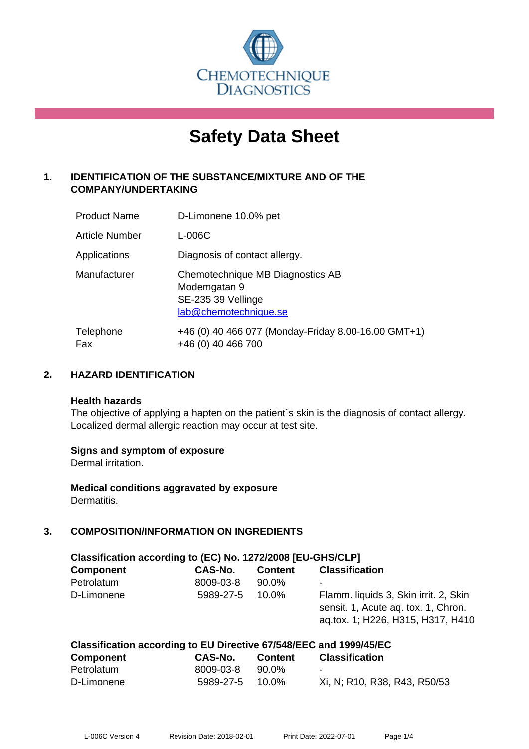

# **Safety Data Sheet**

# **1. IDENTIFICATION OF THE SUBSTANCE/MIXTURE AND OF THE COMPANY/UNDERTAKING**

| <b>Product Name</b>   | D-Limonene 10.0% pet                                                                            |
|-----------------------|-------------------------------------------------------------------------------------------------|
| <b>Article Number</b> | L-006C                                                                                          |
| Applications          | Diagnosis of contact allergy.                                                                   |
| Manufacturer          | Chemotechnique MB Diagnostics AB<br>Modemgatan 9<br>SE-235 39 Vellinge<br>lab@chemotechnique.se |
| Telephone<br>Fax      | +46 (0) 40 466 077 (Monday-Friday 8.00-16.00 GMT+1)<br>+46 (0) 40 466 700                       |

## **2. HAZARD IDENTIFICATION**

#### **Health hazards**

The objective of applying a hapten on the patient's skin is the diagnosis of contact allergy. Localized dermal allergic reaction may occur at test site.

## **Signs and symptom of exposure**

Dermal irritation.

**Medical conditions aggravated by exposure** Dermatitis.

# **3. COMPOSITION/INFORMATION ON INGREDIENTS**

| Classification according to (EC) No. 1272/2008 [EU-GHS/CLP] |           |                |                                                                                                                   |  |
|-------------------------------------------------------------|-----------|----------------|-------------------------------------------------------------------------------------------------------------------|--|
| <b>Component</b>                                            | CAS-No.   | <b>Content</b> | <b>Classification</b>                                                                                             |  |
| Petrolatum                                                  | 8009-03-8 | 90.0%          | ۰                                                                                                                 |  |
| D-Limonene                                                  | 5989-27-5 | $10.0\%$       | Flamm. liquids 3, Skin irrit. 2, Skin<br>sensit. 1, Acute aq. tox. 1, Chron.<br>ag.tox. 1; H226, H315, H317, H410 |  |

| Classification according to EU Directive 67/548/EEC and 1999/45/EC |                 |         |                              |  |
|--------------------------------------------------------------------|-----------------|---------|------------------------------|--|
| <b>Component</b>                                                   | CAS-No.         | Content | <b>Classification</b>        |  |
| Petrolatum                                                         | 8009-03-8       | 90.0%   | $\overline{\phantom{0}}$     |  |
| D-Limonene                                                         | 5989-27-5 10.0% |         | Xi, N; R10, R38, R43, R50/53 |  |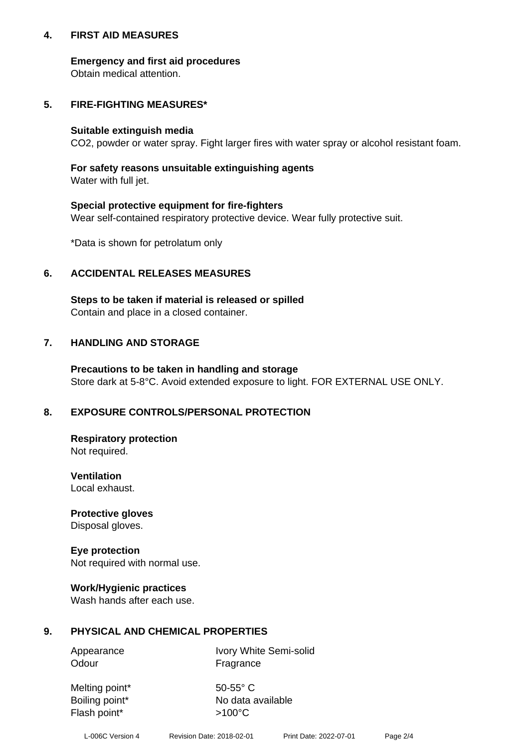## **4. FIRST AID MEASURES**

## **Emergency and first aid procedures**

Obtain medical attention.

# **5. FIRE-FIGHTING MEASURES\***

#### **Suitable extinguish media**

CO2, powder or water spray. Fight larger fires with water spray or alcohol resistant foam.

# **For safety reasons unsuitable extinguishing agents**

Water with full jet.

## **Special protective equipment for fire-fighters**

Wear self-contained respiratory protective device. Wear fully protective suit.

\*Data is shown for petrolatum only

## **6. ACCIDENTAL RELEASES MEASURES**

**Steps to be taken if material is released or spilled** Contain and place in a closed container.

# **7. HANDLING AND STORAGE**

**Precautions to be taken in handling and storage** Store dark at 5-8°C. Avoid extended exposure to light. FOR EXTERNAL USE ONLY.

# **8. EXPOSURE CONTROLS/PERSONAL PROTECTION**

**Respiratory protection** Not required.

**Ventilation** Local exhaust.

**Protective gloves** Disposal gloves.

#### **Eye protection** Not required with normal use.

## **Work/Hygienic practices**

Wash hands after each use.

## **9. PHYSICAL AND CHEMICAL PROPERTIES**

Odour Fragrance

Appearance Ivory White Semi-solid

Melting point\* 50-55° C Flash point\*  $>100^{\circ}$ C

Boiling point\* No data available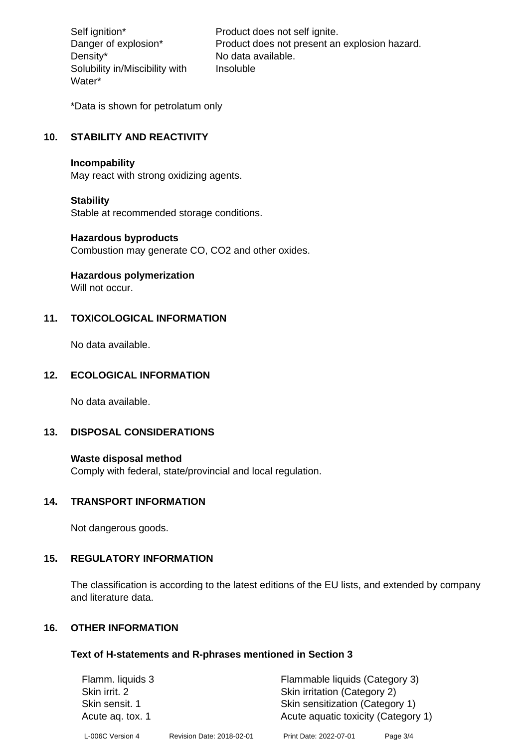Density\* No data available. Solubility in/Miscibility with Water\*

Self ignition\* Product does not self ignite. Danger of explosion\* Product does not present an explosion hazard. Insoluble

\*Data is shown for petrolatum only

# **10. STABILITY AND REACTIVITY**

#### **Incompability**

May react with strong oxidizing agents.

#### **Stability**

Stable at recommended storage conditions.

#### **Hazardous byproducts**

Combustion may generate CO, CO2 and other oxides.

**Hazardous polymerization**

Will not occur.

## **11. TOXICOLOGICAL INFORMATION**

No data available.

## **12. ECOLOGICAL INFORMATION**

No data available.

## **13. DISPOSAL CONSIDERATIONS**

#### **Waste disposal method**

Comply with federal, state/provincial and local regulation.

#### **14. TRANSPORT INFORMATION**

Not dangerous goods.

## **15. REGULATORY INFORMATION**

The classification is according to the latest editions of the EU lists, and extended by company and literature data.

#### **16. OTHER INFORMATION**

#### **Text of H-statements and R-phrases mentioned in Section 3**

| Flamm. liquids 3 |                           | Flammable liquids (Category 3)      |          |
|------------------|---------------------------|-------------------------------------|----------|
| Skin irrit. 2    |                           | Skin irritation (Category 2)        |          |
| Skin sensit. 1   |                           | Skin sensitization (Category 1)     |          |
| Acute ag. tox. 1 |                           | Acute aquatic toxicity (Category 1) |          |
| L-006C Version 4 | Revision Date: 2018-02-01 | Print Date: 2022-07-01              | Page 3/4 |